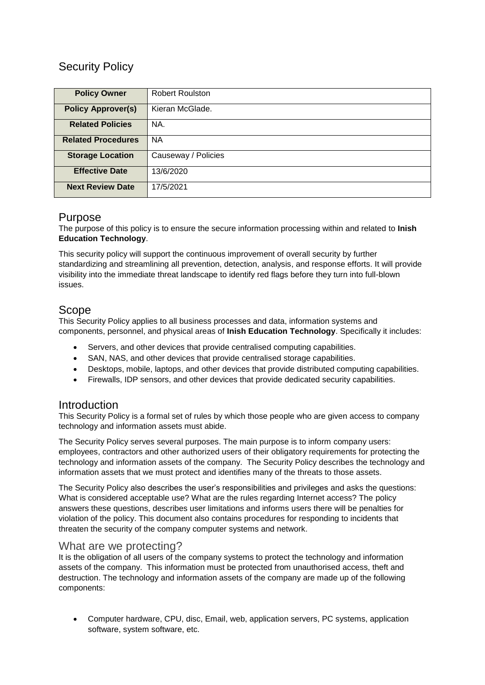# Security Policy

| <b>Policy Owner</b>       | <b>Robert Roulston</b> |
|---------------------------|------------------------|
| <b>Policy Approver(s)</b> | Kieran McGlade.        |
| <b>Related Policies</b>   | NA.                    |
| <b>Related Procedures</b> | <b>NA</b>              |
| <b>Storage Location</b>   | Causeway / Policies    |
| <b>Effective Date</b>     | 13/6/2020              |
| <b>Next Review Date</b>   | 17/5/2021              |

### Purpose

The purpose of this policy is to ensure the secure information processing within and related to **Inish Education Technology**.

This security policy will support the continuous improvement of overall security by further standardizing and streamlining all prevention, detection, analysis, and response efforts. It will provide visibility into the immediate threat landscape to identify red flags before they turn into full-blown issues.

### Scope

This Security Policy applies to all business processes and data, information systems and components, personnel, and physical areas of **Inish Education Technology**. Specifically it includes:

- Servers, and other devices that provide centralised computing capabilities.
- SAN, NAS, and other devices that provide centralised storage capabilities.
- Desktops, mobile, laptops, and other devices that provide distributed computing capabilities.
- Firewalls, IDP sensors, and other devices that provide dedicated security capabilities.

### Introduction

This Security Policy is a formal set of rules by which those people who are given access to company technology and information assets must abide.

The Security Policy serves several purposes. The main purpose is to inform company users: employees, contractors and other authorized users of their obligatory requirements for protecting the technology and information assets of the company. The Security Policy describes the technology and information assets that we must protect and identifies many of the threats to those assets.

The Security Policy also describes the user's responsibilities and privileges and asks the questions: What is considered acceptable use? What are the rules regarding Internet access? The policy answers these questions, describes user limitations and informs users there will be penalties for violation of the policy. This document also contains procedures for responding to incidents that threaten the security of the company computer systems and network.

#### What are we protecting?

It is the obligation of all users of the company systems to protect the technology and information assets of the company. This information must be protected from unauthorised access, theft and destruction. The technology and information assets of the company are made up of the following components:

 Computer hardware, CPU, disc, Email, web, application servers, PC systems, application software, system software, etc.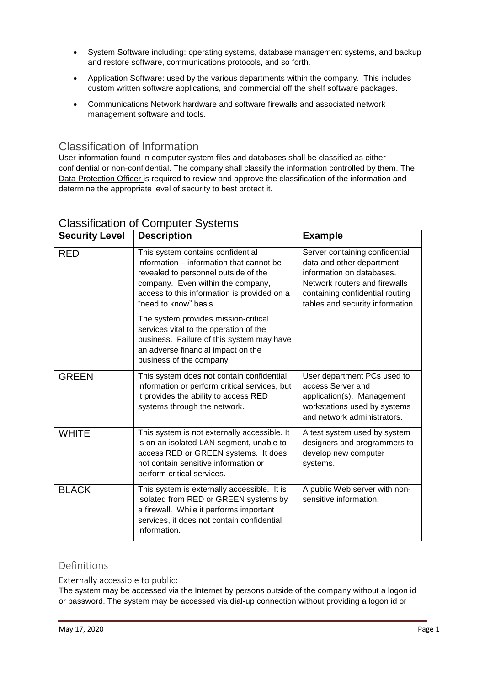- System Software including: operating systems, database management systems, and backup and restore software, communications protocols, and so forth.
- Application Software: used by the various departments within the company. This includes custom written software applications, and commercial off the shelf software packages.
- Communications Network hardware and software firewalls and associated network management software and tools.

#### Classification of Information

User information found in computer system files and databases shall be classified as either confidential or non-confidential. The company shall classify the information controlled by them. The Data Protection Officer is required to review and approve the classification of the information and determine the appropriate level of security to best protect it.

| <b>Security Level</b> | <b>Description</b>                                                                                                                                                                                                                 | <b>Example</b>                                                                                                                                                                                   |  |
|-----------------------|------------------------------------------------------------------------------------------------------------------------------------------------------------------------------------------------------------------------------------|--------------------------------------------------------------------------------------------------------------------------------------------------------------------------------------------------|--|
| <b>RED</b>            | This system contains confidential<br>information – information that cannot be<br>revealed to personnel outside of the<br>company. Even within the company,<br>access to this information is provided on a<br>"need to know" basis. | Server containing confidential<br>data and other department<br>information on databases.<br>Network routers and firewalls<br>containing confidential routing<br>tables and security information. |  |
|                       | The system provides mission-critical<br>services vital to the operation of the<br>business. Failure of this system may have<br>an adverse financial impact on the<br>business of the company.                                      |                                                                                                                                                                                                  |  |
| <b>GREEN</b>          | This system does not contain confidential<br>information or perform critical services, but<br>it provides the ability to access RED<br>systems through the network.                                                                | User department PCs used to<br>access Server and<br>application(s). Management<br>workstations used by systems<br>and network administrators.                                                    |  |
| <b>WHITE</b>          | This system is not externally accessible. It<br>is on an isolated LAN segment, unable to<br>access RED or GREEN systems. It does<br>not contain sensitive information or<br>perform critical services.                             | A test system used by system<br>designers and programmers to<br>develop new computer<br>systems.                                                                                                 |  |
| <b>BLACK</b>          | This system is externally accessible. It is<br>isolated from RED or GREEN systems by<br>a firewall. While it performs important<br>services, it does not contain confidential<br>information.                                      | A public Web server with non-<br>sensitive information.                                                                                                                                          |  |

## Classification of Computer Systems

### Definitions

Externally accessible to public:

The system may be accessed via the Internet by persons outside of the company without a logon id or password. The system may be accessed via dial-up connection without providing a logon id or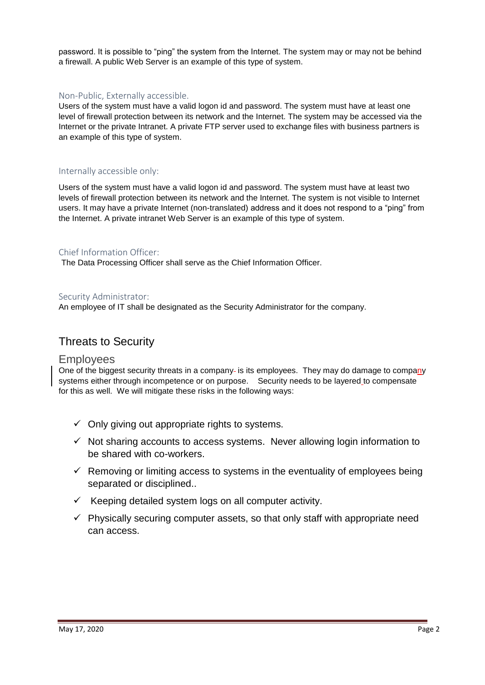password. It is possible to "ping" the system from the Internet. The system may or may not be behind a firewall. A public Web Server is an example of this type of system.

#### Non-Public, Externally accessible.

Users of the system must have a valid logon id and password. The system must have at least one level of firewall protection between its network and the Internet. The system may be accessed via the Internet or the private Intranet. A private FTP server used to exchange files with business partners is an example of this type of system.

#### Internally accessible only:

Users of the system must have a valid logon id and password. The system must have at least two levels of firewall protection between its network and the Internet. The system is not visible to Internet users. It may have a private Internet (non-translated) address and it does not respond to a "ping" from the Internet. A private intranet Web Server is an example of this type of system.

#### Chief Information Officer:

The Data Processing Officer shall serve as the Chief Information Officer.

#### Security Administrator:

An employee of IT shall be designated as the Security Administrator for the company.

### Threats to Security

#### Employees

One of the biggest security threats in a company- is its employees. They may do damage to company systems either through incompetence or on purpose. Security needs to be layered to compensate for this as well. We will mitigate these risks in the following ways:

- $\checkmark$  Only giving out appropriate rights to systems.
- $\checkmark$  Not sharing accounts to access systems. Never allowing login information to be shared with co-workers.
- $\checkmark$  Removing or limiting access to systems in the eventuality of employees being separated or disciplined..
- $\checkmark$  Keeping detailed system logs on all computer activity.
- $\checkmark$  Physically securing computer assets, so that only staff with appropriate need can access.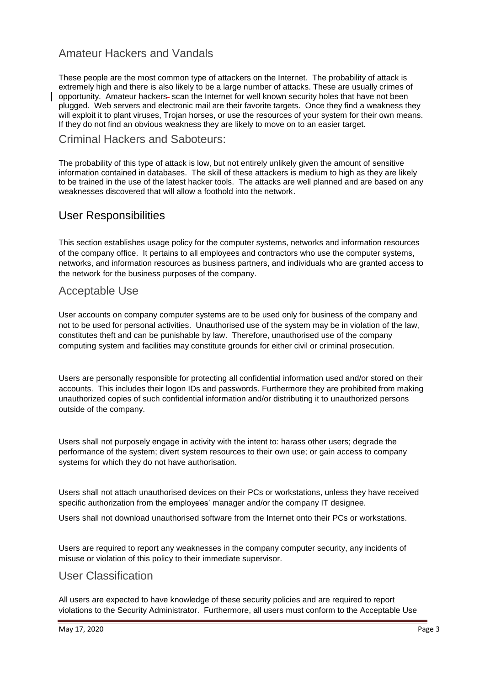## Amateur Hackers and Vandals

These people are the most common type of attackers on the Internet. The probability of attack is extremely high and there is also likely to be a large number of attacks. These are usually crimes of opportunity. Amateur hackers- scan the Internet for well known security holes that have not been plugged. Web servers and electronic mail are their favorite targets. Once they find a weakness they will exploit it to plant viruses, Trojan horses, or use the resources of your system for their own means. If they do not find an obvious weakness they are likely to move on to an easier target.

#### Criminal Hackers and Saboteurs:

The probability of this type of attack is low, but not entirely unlikely given the amount of sensitive information contained in databases. The skill of these attackers is medium to high as they are likely to be trained in the use of the latest hacker tools. The attacks are well planned and are based on any weaknesses discovered that will allow a foothold into the network.

### User Responsibilities

This section establishes usage policy for the computer systems, networks and information resources of the company office. It pertains to all employees and contractors who use the computer systems, networks, and information resources as business partners, and individuals who are granted access to the network for the business purposes of the company.

### Acceptable Use

User accounts on company computer systems are to be used only for business of the company and not to be used for personal activities. Unauthorised use of the system may be in violation of the law, constitutes theft and can be punishable by law. Therefore, unauthorised use of the company computing system and facilities may constitute grounds for either civil or criminal prosecution.

Users are personally responsible for protecting all confidential information used and/or stored on their accounts. This includes their logon IDs and passwords. Furthermore they are prohibited from making unauthorized copies of such confidential information and/or distributing it to unauthorized persons outside of the company.

Users shall not purposely engage in activity with the intent to: harass other users; degrade the performance of the system; divert system resources to their own use; or gain access to company systems for which they do not have authorisation.

Users shall not attach unauthorised devices on their PCs or workstations, unless they have received specific authorization from the employees' manager and/or the company IT designee.

Users shall not download unauthorised software from the Internet onto their PCs or workstations.

Users are required to report any weaknesses in the company computer security, any incidents of misuse or violation of this policy to their immediate supervisor.

### User Classification

All users are expected to have knowledge of these security policies and are required to report violations to the Security Administrator. Furthermore, all users must conform to the Acceptable Use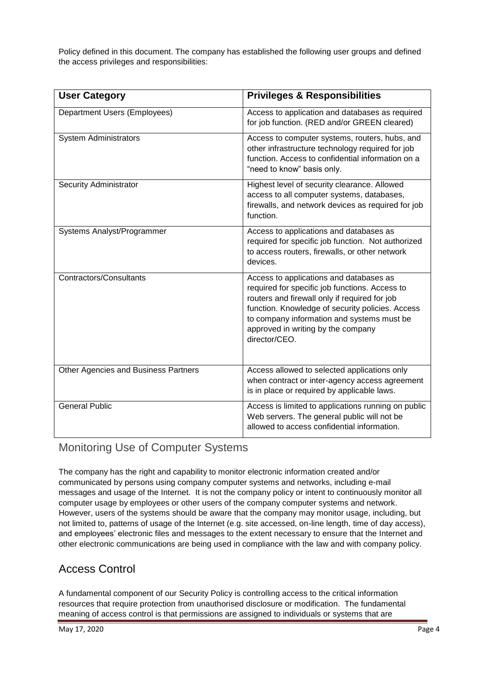Policy defined in this document. The company has established the following user groups and defined the access privileges and responsibilities:

| <b>User Category</b>                 | <b>Privileges &amp; Responsibilities</b>                                                                                                                                                                                                                                                            |  |
|--------------------------------------|-----------------------------------------------------------------------------------------------------------------------------------------------------------------------------------------------------------------------------------------------------------------------------------------------------|--|
| Department Users (Employees)         | Access to application and databases as required<br>for job function. (RED and/or GREEN cleared)                                                                                                                                                                                                     |  |
| <b>System Administrators</b>         | Access to computer systems, routers, hubs, and<br>other infrastructure technology required for job<br>function. Access to confidential information on a<br>"need to know" basis only.                                                                                                               |  |
| <b>Security Administrator</b>        | Highest level of security clearance. Allowed<br>access to all computer systems, databases,<br>firewalls, and network devices as required for job<br>function.                                                                                                                                       |  |
| Systems Analyst/Programmer           | Access to applications and databases as<br>required for specific job function. Not authorized<br>to access routers, firewalls, or other network<br>devices.                                                                                                                                         |  |
| Contractors/Consultants              | Access to applications and databases as<br>required for specific job functions. Access to<br>routers and firewall only if required for job<br>function. Knowledge of security policies. Access<br>to company information and systems must be<br>approved in writing by the company<br>director/CEO. |  |
| Other Agencies and Business Partners | Access allowed to selected applications only<br>when contract or inter-agency access agreement<br>is in place or required by applicable laws.                                                                                                                                                       |  |
| <b>General Public</b>                | Access is limited to applications running on public<br>Web servers. The general public will not be<br>allowed to access confidential information.                                                                                                                                                   |  |

# Monitoring Use of Computer Systems

The company has the right and capability to monitor electronic information created and/or communicated by persons using company computer systems and networks, including e-mail messages and usage of the Internet. It is not the company policy or intent to continuously monitor all computer usage by employees or other users of the company computer systems and network. However, users of the systems should be aware that the company may monitor usage, including, but not limited to, patterns of usage of the Internet (e.g. site accessed, on-line length, time of day access), and employees' electronic files and messages to the extent necessary to ensure that the Internet and other electronic communications are being used in compliance with the law and with company policy.

## Access Control

A fundamental component of our Security Policy is controlling access to the critical information resources that require protection from unauthorised disclosure or modification. The fundamental meaning of access control is that permissions are assigned to individuals or systems that are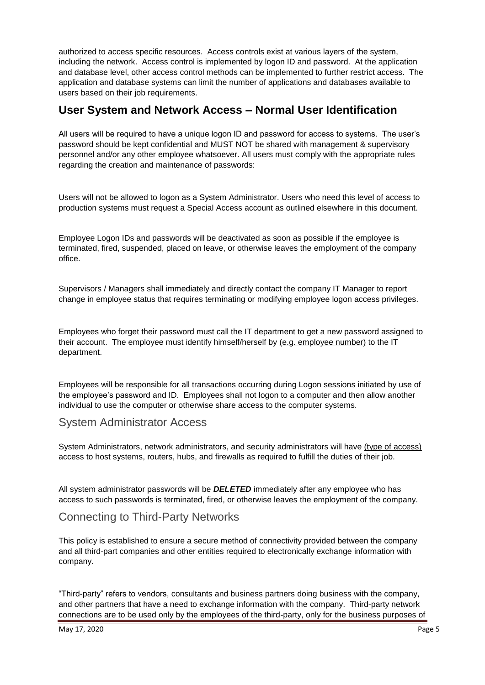authorized to access specific resources. Access controls exist at various layers of the system, including the network. Access control is implemented by logon ID and password. At the application and database level, other access control methods can be implemented to further restrict access. The application and database systems can limit the number of applications and databases available to users based on their job requirements.

## **User System and Network Access – Normal User Identification**

All users will be required to have a unique logon ID and password for access to systems. The user's password should be kept confidential and MUST NOT be shared with management & supervisory personnel and/or any other employee whatsoever. All users must comply with the appropriate rules regarding the creation and maintenance of passwords:

Users will not be allowed to logon as a System Administrator. Users who need this level of access to production systems must request a Special Access account as outlined elsewhere in this document.

Employee Logon IDs and passwords will be deactivated as soon as possible if the employee is terminated, fired, suspended, placed on leave, or otherwise leaves the employment of the company office.

Supervisors / Managers shall immediately and directly contact the company IT Manager to report change in employee status that requires terminating or modifying employee logon access privileges.

Employees who forget their password must call the IT department to get a new password assigned to their account. The employee must identify himself/herself by (e.g. employee number) to the IT department.

Employees will be responsible for all transactions occurring during Logon sessions initiated by use of the employee's password and ID. Employees shall not logon to a computer and then allow another individual to use the computer or otherwise share access to the computer systems.

### System Administrator Access

System Administrators, network administrators, and security administrators will have (type of access) access to host systems, routers, hubs, and firewalls as required to fulfill the duties of their job.

All system administrator passwords will be *DELETED* immediately after any employee who has access to such passwords is terminated, fired, or otherwise leaves the employment of the company.

## Connecting to Third-Party Networks

This policy is established to ensure a secure method of connectivity provided between the company and all third-part companies and other entities required to electronically exchange information with company.

"Third-party" refers to vendors, consultants and business partners doing business with the company, and other partners that have a need to exchange information with the company. Third-party network connections are to be used only by the employees of the third-party, only for the business purposes of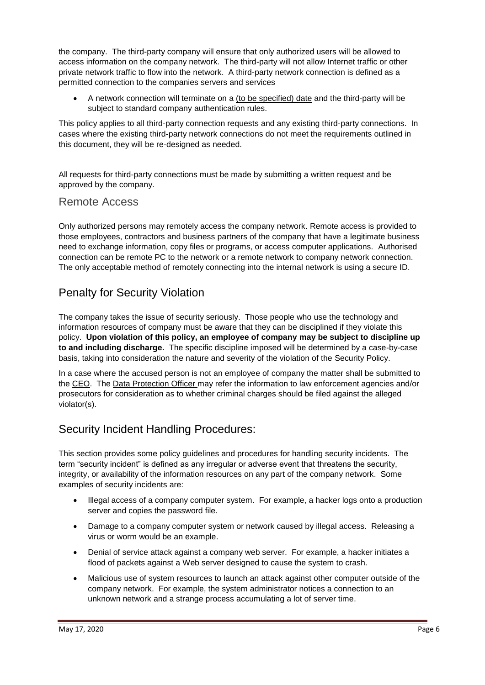the company. The third-party company will ensure that only authorized users will be allowed to access information on the company network. The third-party will not allow Internet traffic or other private network traffic to flow into the network. A third-party network connection is defined as a permitted connection to the companies servers and services

 A network connection will terminate on a (to be specified) date and the third-party will be subject to standard company authentication rules.

This policy applies to all third-party connection requests and any existing third-party connections. In cases where the existing third-party network connections do not meet the requirements outlined in this document, they will be re-designed as needed.

All requests for third-party connections must be made by submitting a written request and be approved by the company.

#### Remote Access

Only authorized persons may remotely access the company network. Remote access is provided to those employees, contractors and business partners of the company that have a legitimate business need to exchange information, copy files or programs, or access computer applications. Authorised connection can be remote PC to the network or a remote network to company network connection. The only acceptable method of remotely connecting into the internal network is using a secure ID.

## Penalty for Security Violation

The company takes the issue of security seriously. Those people who use the technology and information resources of company must be aware that they can be disciplined if they violate this policy. **Upon violation of this policy, an employee of company may be subject to discipline up to and including discharge.** The specific discipline imposed will be determined by a case-by-case basis, taking into consideration the nature and severity of the violation of the Security Policy.

In a case where the accused person is not an employee of company the matter shall be submitted to the CEO. The Data Protection Officer may refer the information to law enforcement agencies and/or prosecutors for consideration as to whether criminal charges should be filed against the alleged violator(s).

## Security Incident Handling Procedures:

This section provides some policy guidelines and procedures for handling security incidents. The term "security incident" is defined as any irregular or adverse event that threatens the security, integrity, or availability of the information resources on any part of the company network. Some examples of security incidents are:

- Illegal access of a company computer system. For example, a hacker logs onto a production server and copies the password file.
- Damage to a company computer system or network caused by illegal access. Releasing a virus or worm would be an example.
- Denial of service attack against a company web server. For example, a hacker initiates a flood of packets against a Web server designed to cause the system to crash.
- Malicious use of system resources to launch an attack against other computer outside of the company network. For example, the system administrator notices a connection to an unknown network and a strange process accumulating a lot of server time.